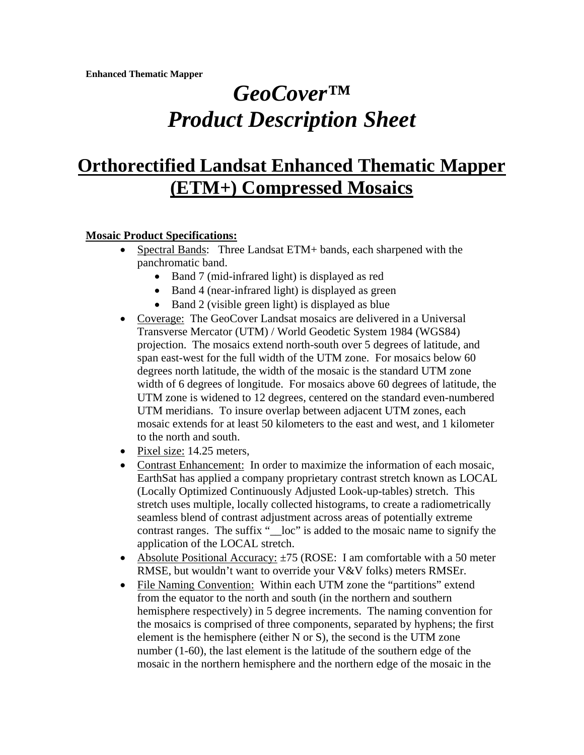# *GeoCover™ Product Description Sheet*

# **Orthorectified Landsat Enhanced Thematic Mapper (ETM+) Compressed Mosaics**

#### **Mosaic Product Specifications:**

- Spectral Bands: Three Landsat ETM+ bands, each sharpened with the panchromatic band.
	- Band 7 (mid-infrared light) is displayed as red
	- Band 4 (near-infrared light) is displayed as green
	- Band 2 (visible green light) is displayed as blue
- Coverage: The GeoCover Landsat mosaics are delivered in a Universal Transverse Mercator (UTM) / World Geodetic System 1984 (WGS84) projection. The mosaics extend north-south over 5 degrees of latitude, and span east-west for the full width of the UTM zone. For mosaics below 60 degrees north latitude, the width of the mosaic is the standard UTM zone width of 6 degrees of longitude. For mosaics above 60 degrees of latitude, the UTM zone is widened to 12 degrees, centered on the standard even-numbered UTM meridians. To insure overlap between adjacent UTM zones, each mosaic extends for at least 50 kilometers to the east and west, and 1 kilometer to the north and south.
- Pixel size: 14.25 meters,
- Contrast Enhancement: In order to maximize the information of each mosaic, EarthSat has applied a company proprietary contrast stretch known as LOCAL (Locally Optimized Continuously Adjusted Look-up-tables) stretch. This stretch uses multiple, locally collected histograms, to create a radiometrically seamless blend of contrast adjustment across areas of potentially extreme contrast ranges. The suffix " loc" is added to the mosaic name to signify the application of the LOCAL stretch.
- Absolute Positional Accuracy:  $\pm 75$  (ROSE: I am comfortable with a 50 meter RMSE, but wouldn't want to override your V&V folks) meters RMSEr.
- File Naming Convention: Within each UTM zone the "partitions" extend from the equator to the north and south (in the northern and southern hemisphere respectively) in 5 degree increments. The naming convention for the mosaics is comprised of three components, separated by hyphens; the first element is the hemisphere (either N or S), the second is the UTM zone number (1-60), the last element is the latitude of the southern edge of the mosaic in the northern hemisphere and the northern edge of the mosaic in the